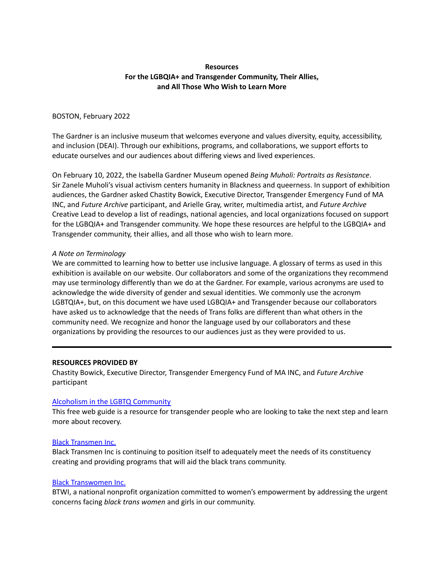# **Resources For the LGBQIA+ and Transgender Community, Their Allies, and All Those Who Wish to Learn More**

## BOSTON, February 2022

The Gardner is an inclusive museum that welcomes everyone and values diversity, equity, accessibility, and inclusion (DEAI). Through our exhibitions, programs, and collaborations, we support efforts to educate ourselves and our audiences about differing views and lived experiences.

On February 10, 2022, the Isabella Gardner Museum opened *Being Muholi: Portraits as Resistance*. Sir Zanele Muholi's visual activism centers humanity in Blackness and queerness. In support of exhibition audiences, the Gardner asked Chastity Bowick, Executive Director, Transgender Emergency Fund of MA INC, and *Future Archive* participant, and Arielle Gray, writer, multimedia artist, and *Future Archive* Creative Lead to develop a list of readings, national agencies, and local organizations focused on support for the LGBQIA+ and Transgender community. We hope these resources are helpful to the LGBQIA+ and Transgender community, their allies, and all those who wish to learn more.

## *A Note on Terminology*

We are committed to learning how to better use inclusive language. A glossary of terms as used in this exhibition is available on our website. Our collaborators and some of the organizations they recommend may use terminology differently than we do at the Gardner. For example, various acronyms are used to acknowledge the wide diversity of gender and sexual identities. We commonly use the acronym LGBTQIA+, but, on this document we have used LGBQIA+ and Transgender because our collaborators have asked us to acknowledge that the needs of Trans folks are different than what others in the community need. We recognize and honor the language used by our collaborators and these organizations by providing the resources to our audiences just as they were provided to us.

### **RESOURCES PROVIDED BY**

Chastity Bowick, Executive Director, Transgender Emergency Fund of MA INC, and *Future Archive* participant

# Alcoholism in the LGBTQ [Community](https://www.rehabspot.com/alcohol/who-alcoholism-affects/lgbtq-community/)

This free web guide is a resource for transgender people who are looking to take the next step and learn more about recovery.

# Black [Transmen](https://blacktransmen.org/) Inc.

Black Transmen Inc is continuing to position itself to adequately meet the needs of its constituency creating and providing programs that will aid the black trans community.

# Black [Transwomen](https://blacktranswomen.org/) Inc.

BTWI, a national nonprofit organization committed to women's empowerment by addressing the urgent concerns facing *black trans women* and girls in our community.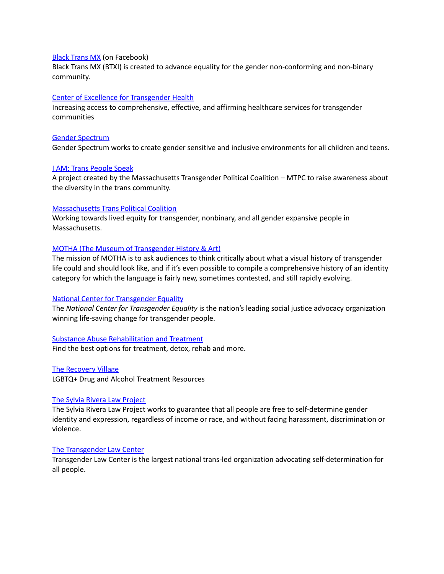### Black [Trans](https://www.facebook.com/blacktransmx/) MX (on Facebook)

Black Trans MX (BTXI) is created to advance equality for the gender non-conforming and non-binary community.

### Center of Excellence for [Transgender](https://prevention.ucsf.edu/transhealth) Health

Increasing access to comprehensive, effective, and affirming healthcare services for transgender communities

#### Gender [Spectrum](https://www.genderspectrum.org/)

Gender Spectrum works to create gender sensitive and inclusive environments for all children and teens.

#### I AM: Trans [People](http://www.transpeoplespeak.org/) Speak

A project created by the Massachusetts Transgender Political Coalition – MTPC to raise awareness about the diversity in the trans community.

#### [Massachusetts](https://www.masstpc.org/) Trans Political Coalition

Working towards lived equity for transgender, nonbinary, and all gender expansive people in Massachusetts.

### MOTHA (The Museum of [Transgender](https://www.motha.net/) History & Art)

The mission of MOTHA is to ask audiences to think critically about what a visual history of transgender life could and should look like, and if it's even possible to compile a comprehensive history of an identity category for which the language is fairly new, sometimes contested, and still rapidly evolving.

### National Center for [Transgender](https://transequality.org/) Equality

The *National Center for Transgender Equality* is the nation's leading social justice advocacy organization winning life-saving change for transgender people.

### Substance Abuse [Rehabilitation](https://www.therecoveryvillage.com/local-rehab-resources/massachusetts/) and Treatment

Find the best options for treatment, detox, rehab and more.

The [Recovery](https://www.therecoveryvillage.com/resources/lgbtq/) Village

LGBTQ+ Drug and Alcohol Treatment Resources

### The Sylvia Rivera Law [Project](https://srlp.org/)

The Sylvia Rivera Law Project works to guarantee that all people are free to self-determine gender identity and expression, regardless of income or race, and without facing harassment, discrimination or violence.

## The [Transgender](https://transgenderlawcenter.org/) Law Center

Transgender Law Center is the largest national trans-led organization advocating self-determination for all people.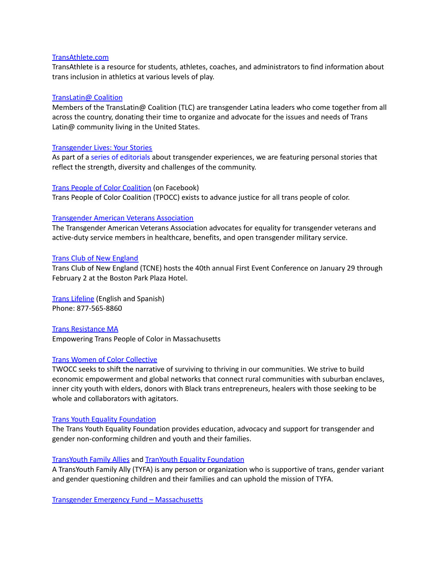### [TransAthlete.com](https://www.transathlete.com/)

TransAthlete is a resource for students, athletes, coaches, and administrators to find information about trans inclusion in athletics at various levels of play.

## [TransLatin@](https://www.translatinacoalition.org/) Coalition

Members of the TransLatin@ Coalition (TLC) are transgender Latina leaders who come together from all across the country, donating their time to organize and advocate for the issues and needs of Trans Latin@ community living in the United States.

## [Transgender](https://www.nytimes.com/interactive/2015/opinion/transgender-today) Lives: Your Stories

As part of a series of [editorials](http://www.nytimes.com/trans-today) about transgender experiences, we are featuring personal stories that reflect the strength, diversity and challenges of the community.

### Trans People of Color [Coalition](https://www.facebook.com/TransPOCC/) (on Facebook)

Trans People of Color Coalition (TPOCC) exists to advance justice for all trans people of color.

## [Transgender](http://transveteran.org/) American Veterans Association

The Transgender American Veterans Association advocates for equality for transgender veterans and active-duty service members in healthcare, benefits, and open transgender military service.

### Trans Club of New [England](https://tcne.org/)

Trans Club of New England (TCNE) hosts the 40th annual First Event Conference on January 29 through February 2 at the Boston Park Plaza Hotel.

Trans [Lifeline](https://translifeline.org/) (English and Spanish) Phone: 877-565-8860

Trans [Resistance](https://www.transresistancema.com/) MA Empowering Trans People of Color in Massachusetts

# Trans Women of Color [Collective](https://www.twocc.us/)

TWOCC seeks to shift the narrative of surviving to thriving in our communities. We strive to build economic empowerment and global networks that connect rural communities with suburban enclaves, inner city youth with elders, donors with Black trans entrepreneurs, healers with those seeking to be whole and collaborators with agitators.

### Trans Youth Equality [Foundation](http://www.transyouthequality.org/)

The Trans Youth Equality Foundation provides education, advocacy and support for transgender and gender non-conforming children and youth and their families.

### TransYouth Family Allies and TranYouth Equality [Foundation](http://www.transyouthequality.org/)

A TransYouth Family Ally (TYFA) is any person or organization who is supportive of trans, gender variant and gender questioning children and their families and can uphold the mission of TYFA.

Transgender Emergency Fund – [Massachusetts](https://transemergencyfund.org/)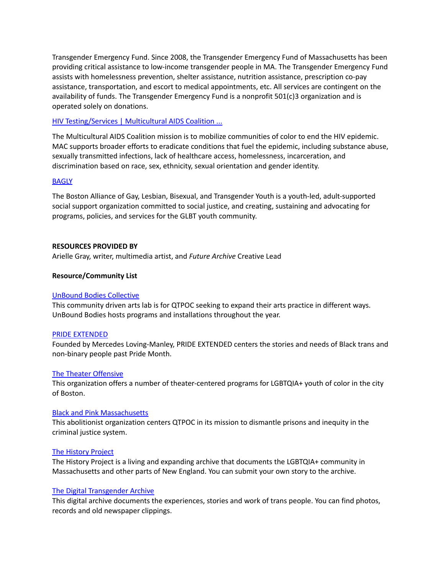Transgender Emergency Fund. Since 2008, the Transgender Emergency Fund of Massachusetts has been providing critical assistance to low-income transgender people in MA. The Transgender Emergency Fund assists with homelessness prevention, shelter assistance, nutrition assistance, prescription co-pay assistance, transportation, and escort to medical appointments, etc. All services are contingent on the availability of funds. The Transgender Emergency Fund is a nonprofit 501(c)3 organization and is operated solely on donations.

## HIV [Testing/Services](https://www.mac-boston.org/) | Multicultural AIDS Coalition ...

The Multicultural AIDS Coalition mission is to mobilize communities of color to end the HIV epidemic. MAC supports broader efforts to eradicate conditions that fuel the epidemic, including substance abuse, sexually transmitted infections, lack of healthcare access, homelessness, incarceration, and discrimination based on race, sex, ethnicity, sexual orientation and gender identity.

### **[BAGLY](https://www.linkedin.com/company/bagly-inc)**

The Boston Alliance of Gay, Lesbian, Bisexual, and Transgender Youth is a youth-led, adult-supported social support organization committed to social justice, and creating, sustaining and advocating for programs, policies, and services for the GLBT youth community.

## **RESOURCES PROVIDED BY**

Arielle Gray, writer, multimedia artist, and *Future Archive* Creative Lead

## **Resource/Community List**

### UnBound Bodies [Collective](https://www.facebook.com/unboundbodies/)

This community driven arts lab is for QTPOC seeking to expand their arts practice in different ways. UnBound Bodies hosts programs and installations throughout the year.

### PRIDE [EXTENDED](https://www.instagram.com/prideextended/?hl=en)

Founded by Mercedes Loving-Manley, PRIDE EXTENDED centers the stories and needs of Black trans and non-binary people past Pride Month.

### The Theater [Offensive](https://thetheateroffensive.org/)

This organization offers a number of theater-centered programs for LGBTQIA+ youth of color in the city of Boston.

### Black and Pink [Massachusetts](https://www.blackandpinkma.org/)

This abolitionist organization centers QTPOC in its mission to dismantle prisons and inequity in the criminal justice system.

### The [History](http://historyproject.org/) Project

The History Project is a living and expanding archive that documents the LGBTQIA+ community in Massachusetts and other parts of New England. You can submit your own story to the archive.

### The Digital [Transgender](https://www.digitaltransgenderarchive.net/) Archive

This digital archive documents the experiences, stories and work of trans people. You can find photos, records and old newspaper clippings.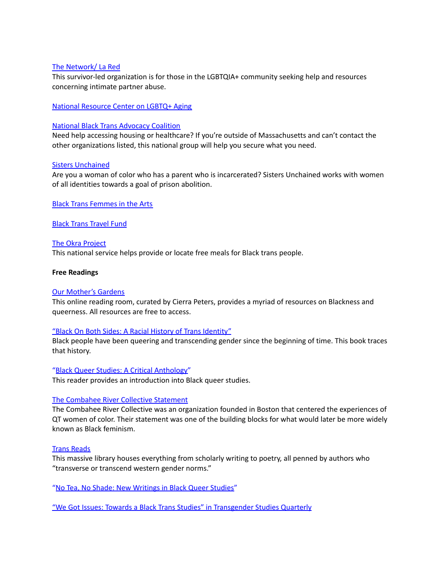## The [Network/](https://www.tnlr.org/en/) La Red

This survivor-led organization is for those in the LGBTQIA+ community seeking help and resources concerning intimate partner abuse.

National [Resource](https://www.lgbtagingcenter.org/) Center on LGBTQ+ Aging

## National Black Trans [Advocacy](https://blacktrans.org/) Coalition

Need help accessing housing or healthcare? If you're outside of Massachusetts and can't contact the other organizations listed, this national group will help you secure what you need.

## Sisters [Unchained](https://sistersunchained.com/)

Are you a woman of color who has a parent who is incarcerated? Sisters Unchained works with women of all identities towards a goal of prison abolition.

Black Trans [Femmes](https://www.instagram.com/btfacollective/) in the Arts

Black Trans [Travel](https://www.blacktranstravelfund.com/) Fund

# The Okra [Project](https://www.theokraproject.com/)

This national service helps provide or locate free meals for Black trans people.

### **Free Readings**

### Our [Mother's](https://libraries.cargo.site/) Gardens

This online reading room, curated by Cierra Peters, provides a myriad of resources on Blackness and queerness. All resources are free to access.

### "Black On Both Sides: A Racial History of Trans [Identity"](https://transreads.org/wp-content/uploads/2019/03/2019-03-17_5c8e04a08bf86_c-riley-snorton-black-on-both-sides-a-racial-history-of-trans-identity.pdf)

Black people have been queering and transcending gender since the beginning of time. This book traces that history.

## "Black Queer Studies: A Critical [Anthology"](https://mygaryislike.files.wordpress.com/2016/12/black-queer-studies-a-critical-anthology-eds-e-patrick-johnson-mae-g-henderson.pdf)

This reader provides an introduction into Black queer studies.

### The [Combahee](https://americanstudies.yale.edu/sites/default/files/files/Keyword%20Coalition_Readings.pdf) River Collective Statement

The Combahee River Collective was an organization founded in Boston that centered the experiences of QT women of color. Their statement was one of the building blocks for what would later be more widely known as Black feminism.

### Trans [Reads](https://transreads.org/)

This massive library houses everything from scholarly writing to poetry, all penned by authors who "transverse or transcend western gender norms."

"No Tea, No Shade: New [Writings](https://www.dukeupress.edu/Assets/PubMaterials/978-0-8223-6242-5_601.pdf) in Black Queer Studies"

"We Got Issues: Towards a Black Trans Studies" in [Transgender](http://www.bristol.ac.uk/media-library/sites/law/news/new-folder/women-in-law/We_Got_Issues_Editorial_Introduction_to.pdf) Studies Quarterly